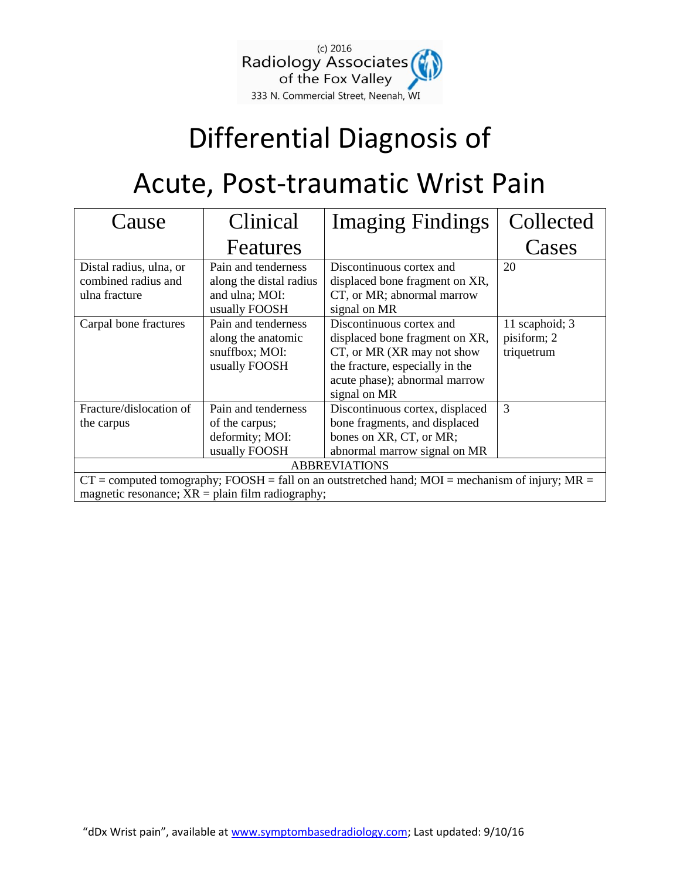

## Differential Diagnosis of

## Acute, Post-traumatic Wrist Pain

| Cause                                                                                                                                                    | Clinical                                                                          | <b>Imaging Findings</b>                                                                                                                                                      | Collected                                   |  |  |
|----------------------------------------------------------------------------------------------------------------------------------------------------------|-----------------------------------------------------------------------------------|------------------------------------------------------------------------------------------------------------------------------------------------------------------------------|---------------------------------------------|--|--|
|                                                                                                                                                          | Features                                                                          |                                                                                                                                                                              | Cases                                       |  |  |
| Distal radius, ulna, or<br>combined radius and<br>ulna fracture                                                                                          | Pain and tenderness<br>along the distal radius<br>and ulna; MOI:<br>usually FOOSH | Discontinuous cortex and<br>displaced bone fragment on XR,<br>CT, or MR; abnormal marrow<br>signal on MR                                                                     | 20                                          |  |  |
| Carpal bone fractures                                                                                                                                    | Pain and tenderness<br>along the anatomic<br>snuffbox; MOI:<br>usually FOOSH      | Discontinuous cortex and<br>displaced bone fragment on XR,<br>CT, or MR (XR may not show<br>the fracture, especially in the<br>acute phase); abnormal marrow<br>signal on MR | 11 scaphoid; 3<br>pisiform; 2<br>triquetrum |  |  |
| Fracture/dislocation of<br>the carpus                                                                                                                    | Pain and tenderness<br>of the carpus;<br>deformity; MOI:<br>usually FOOSH         | Discontinuous cortex, displaced<br>bone fragments, and displaced<br>bones on XR, CT, or MR;<br>abnormal marrow signal on MR                                                  | 3                                           |  |  |
| <b>ABBREVIATIONS</b>                                                                                                                                     |                                                                                   |                                                                                                                                                                              |                                             |  |  |
| $CT =$ computed tomography; FOOSH = fall on an outstretched hand; MOI = mechanism of injury; MR =<br>magnetic resonance; $XR = plain film radiography$ ; |                                                                                   |                                                                                                                                                                              |                                             |  |  |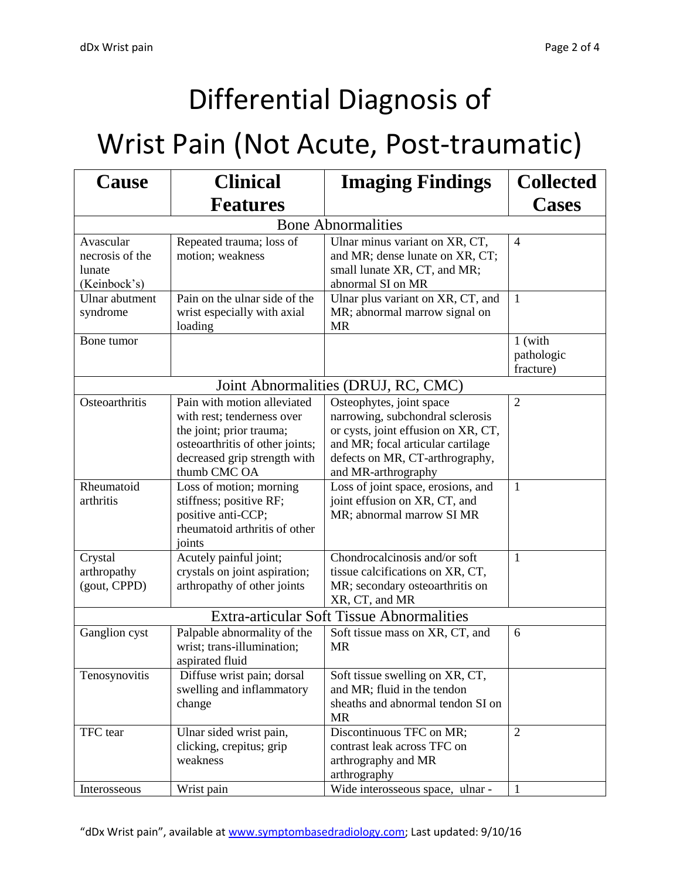# Differential Diagnosis of

### Wrist Pain (Not Acute, Post-traumatic)

| Cause                                                  | <b>Clinical</b>                                                                                                                                                          | <b>Imaging Findings</b>                                                                                                                                                                            | <b>Collected</b>                   |  |  |
|--------------------------------------------------------|--------------------------------------------------------------------------------------------------------------------------------------------------------------------------|----------------------------------------------------------------------------------------------------------------------------------------------------------------------------------------------------|------------------------------------|--|--|
|                                                        | <b>Features</b>                                                                                                                                                          |                                                                                                                                                                                                    | <b>Cases</b>                       |  |  |
| <b>Bone Abnormalities</b>                              |                                                                                                                                                                          |                                                                                                                                                                                                    |                                    |  |  |
| Avascular<br>necrosis of the<br>lunate<br>(Keinbock's) | Repeated trauma; loss of<br>motion; weakness                                                                                                                             | Ulnar minus variant on XR, CT,<br>and MR; dense lunate on XR, CT;<br>small lunate XR, CT, and MR;<br>abnormal SI on MR                                                                             | 4                                  |  |  |
| Ulnar abutment<br>syndrome                             | Pain on the ulnar side of the<br>wrist especially with axial<br>loading                                                                                                  | Ulnar plus variant on XR, CT, and<br>MR; abnormal marrow signal on<br><b>MR</b>                                                                                                                    | 1                                  |  |  |
| Bone tumor                                             |                                                                                                                                                                          |                                                                                                                                                                                                    | 1 (with<br>pathologic<br>fracture) |  |  |
|                                                        |                                                                                                                                                                          | Joint Abnormalities (DRUJ, RC, CMC)                                                                                                                                                                |                                    |  |  |
| Osteoarthritis                                         | Pain with motion alleviated<br>with rest; tenderness over<br>the joint; prior trauma;<br>osteoarthritis of other joints;<br>decreased grip strength with<br>thumb CMC OA | Osteophytes, joint space<br>narrowing, subchondral sclerosis<br>or cysts, joint effusion on XR, CT,<br>and MR; focal articular cartilage<br>defects on MR, CT-arthrography,<br>and MR-arthrography | $\overline{2}$                     |  |  |
| Rheumatoid<br>arthritis                                | Loss of motion; morning<br>stiffness; positive RF;<br>positive anti-CCP;<br>rheumatoid arthritis of other<br>joints                                                      | Loss of joint space, erosions, and<br>joint effusion on XR, CT, and<br>MR; abnormal marrow SI MR                                                                                                   | 1                                  |  |  |
| Crystal<br>arthropathy<br>(gout, CPPD)                 | Acutely painful joint;<br>crystals on joint aspiration;<br>arthropathy of other joints                                                                                   | Chondrocalcinosis and/or soft<br>tissue calcifications on XR, CT,<br>MR; secondary osteoarthritis on<br>XR, CT, and MR                                                                             | $\mathbf{1}$                       |  |  |
| <b>Extra-articular Soft Tissue Abnormalities</b>       |                                                                                                                                                                          |                                                                                                                                                                                                    |                                    |  |  |
| Ganglion cyst                                          | Palpable abnormality of the<br>wrist; trans-illumination;<br>aspirated fluid                                                                                             | Soft tissue mass on XR, CT, and<br><b>MR</b>                                                                                                                                                       | 6                                  |  |  |
| Tenosynovitis                                          | Diffuse wrist pain; dorsal<br>swelling and inflammatory<br>change                                                                                                        | Soft tissue swelling on XR, CT,<br>and MR; fluid in the tendon<br>sheaths and abnormal tendon SI on<br><b>MR</b>                                                                                   |                                    |  |  |
| TFC tear                                               | Ulnar sided wrist pain,<br>clicking, crepitus; grip<br>weakness                                                                                                          | Discontinuous TFC on MR;<br>contrast leak across TFC on<br>arthrography and MR<br>arthrography                                                                                                     | $\overline{2}$                     |  |  |
| Interosseous                                           | Wrist pain                                                                                                                                                               | Wide interosseous space, ulnar -                                                                                                                                                                   | $\mathbf{1}$                       |  |  |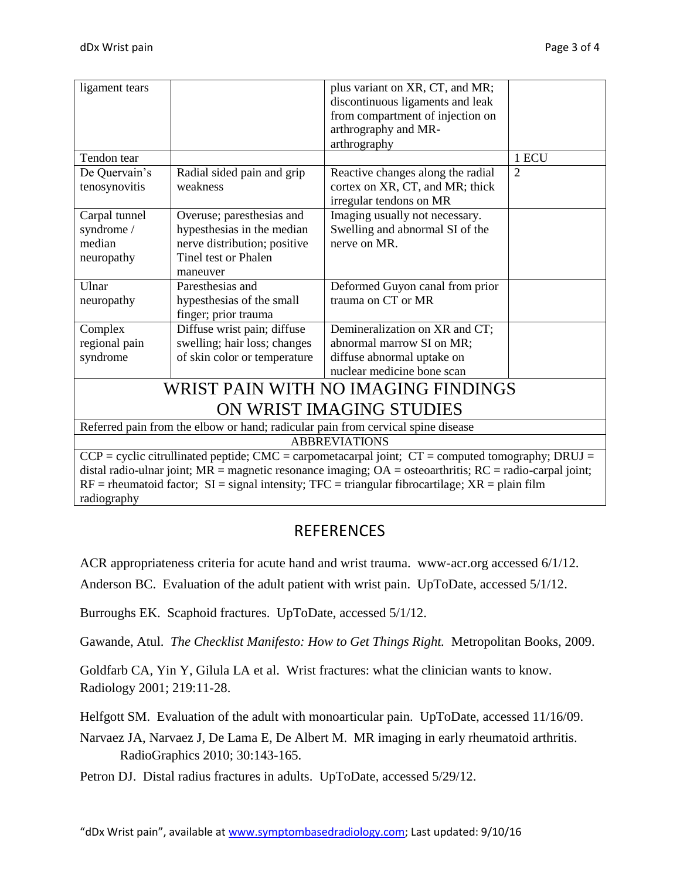| ligament tears                                                                                                 |                                                                                  | plus variant on XR, CT, and MR;   |                |  |  |  |
|----------------------------------------------------------------------------------------------------------------|----------------------------------------------------------------------------------|-----------------------------------|----------------|--|--|--|
|                                                                                                                |                                                                                  | discontinuous ligaments and leak  |                |  |  |  |
|                                                                                                                |                                                                                  | from compartment of injection on  |                |  |  |  |
|                                                                                                                |                                                                                  | arthrography and MR-              |                |  |  |  |
|                                                                                                                |                                                                                  | arthrography                      |                |  |  |  |
| Tendon tear                                                                                                    |                                                                                  |                                   | 1 ECU          |  |  |  |
| De Quervain's                                                                                                  | Radial sided pain and grip                                                       | Reactive changes along the radial | $\overline{2}$ |  |  |  |
| tenosynovitis                                                                                                  | weakness                                                                         | cortex on XR, CT, and MR; thick   |                |  |  |  |
|                                                                                                                |                                                                                  | irregular tendons on MR           |                |  |  |  |
| Carpal tunnel                                                                                                  | Overuse; paresthesias and                                                        | Imaging usually not necessary.    |                |  |  |  |
| syndrome /                                                                                                     | hypesthesias in the median                                                       | Swelling and abnormal SI of the   |                |  |  |  |
| median                                                                                                         | nerve distribution; positive                                                     | nerve on MR.                      |                |  |  |  |
| neuropathy                                                                                                     | Tinel test or Phalen                                                             |                                   |                |  |  |  |
|                                                                                                                | maneuver                                                                         |                                   |                |  |  |  |
| Ulnar                                                                                                          | Paresthesias and                                                                 | Deformed Guyon canal from prior   |                |  |  |  |
| neuropathy                                                                                                     | hypesthesias of the small                                                        | trauma on CT or MR                |                |  |  |  |
|                                                                                                                | finger; prior trauma                                                             |                                   |                |  |  |  |
| Complex                                                                                                        | Diffuse wrist pain; diffuse                                                      | Demineralization on XR and CT;    |                |  |  |  |
| regional pain                                                                                                  | swelling; hair loss; changes                                                     | abnormal marrow SI on MR;         |                |  |  |  |
| syndrome                                                                                                       | of skin color or temperature                                                     | diffuse abnormal uptake on        |                |  |  |  |
|                                                                                                                |                                                                                  | nuclear medicine bone scan        |                |  |  |  |
| WRIST PAIN WITH NO IMAGING FINDINGS                                                                            |                                                                                  |                                   |                |  |  |  |
| ON WRIST IMAGING STUDIES                                                                                       |                                                                                  |                                   |                |  |  |  |
|                                                                                                                |                                                                                  |                                   |                |  |  |  |
|                                                                                                                | Referred pain from the elbow or hand; radicular pain from cervical spine disease |                                   |                |  |  |  |
| <b>ABBREVIATIONS</b>                                                                                           |                                                                                  |                                   |                |  |  |  |
| $CCP = cyclic$ citrullinated peptide; CMC = carpometacarpal joint; $CT =$ computed tomography; DRUJ =          |                                                                                  |                                   |                |  |  |  |
| distal radio-ulnar joint; $MR =$ magnetic resonance imaging; $OA =$ osteoarthritis; $RC =$ radio-carpal joint; |                                                                                  |                                   |                |  |  |  |
| $RF =$ rheumatoid factor; SI = signal intensity; TFC = triangular fibrocartilage; XR = plain film              |                                                                                  |                                   |                |  |  |  |
| radiography                                                                                                    |                                                                                  |                                   |                |  |  |  |

#### REFERENCES

ACR appropriateness criteria for acute hand and wrist trauma. www-acr.org accessed 6/1/12.

Anderson BC. Evaluation of the adult patient with wrist pain. UpToDate, accessed 5/1/12.

Burroughs EK. Scaphoid fractures. UpToDate, accessed 5/1/12.

Gawande, Atul. *The Checklist Manifesto: How to Get Things Right.* Metropolitan Books, 2009.

Goldfarb CA, Yin Y, Gilula LA et al. Wrist fractures: what the clinician wants to know. Radiology 2001; 219:11-28.

Helfgott SM. Evaluation of the adult with monoarticular pain. UpToDate, accessed 11/16/09.

Narvaez JA, Narvaez J, De Lama E, De Albert M. MR imaging in early rheumatoid arthritis. RadioGraphics 2010; 30:143-165.

Petron DJ. Distal radius fractures in adults. UpToDate, accessed 5/29/12.